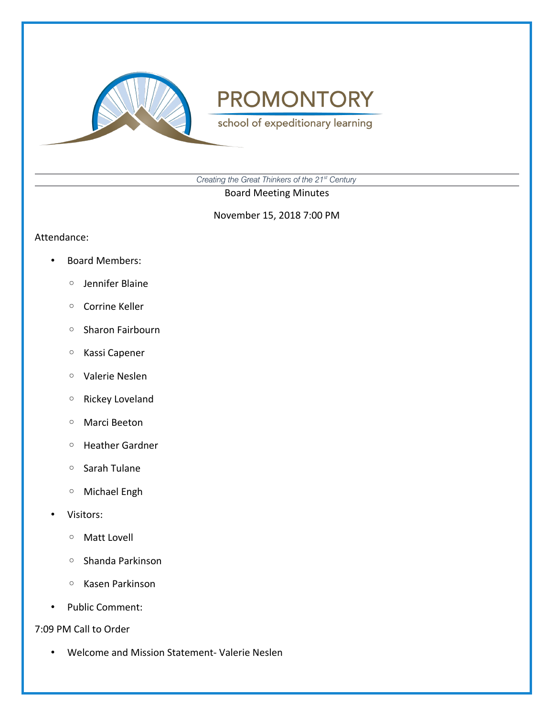

school of expeditionary learning

*Creating the Great Thinkers of the 21st Century*

Board Meeting Minutes

November 15, 2018 7:00 PM

Attendance:

- Board Members:
	- Jennifer Blaine
	- Corrine Keller
	- Sharon Fairbourn
	- Kassi Capener
	- Valerie Neslen
	- Rickey Loveland
	- Marci Beeton
	- Heather Gardner
	- Sarah Tulane
	- Michael Engh
- Visitors:
	- Matt Lovell
	- Shanda Parkinson
	- Kasen Parkinson
- Public Comment:
- 7:09 PM Call to Order
	- Welcome and Mission Statement- Valerie Neslen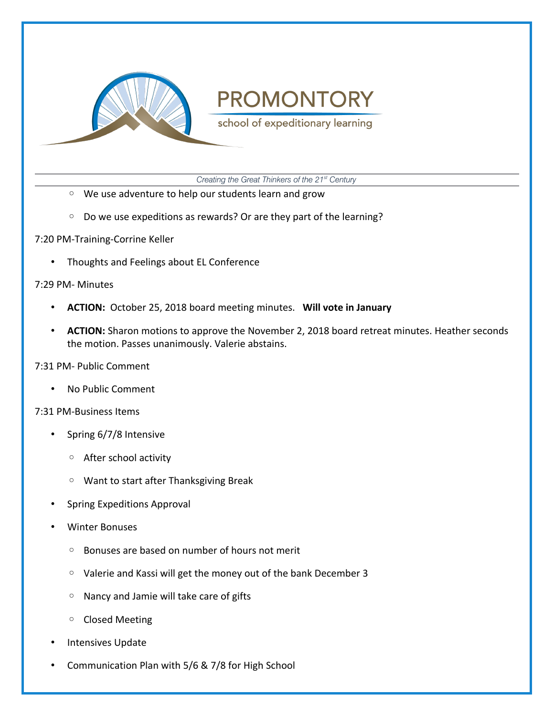

school of expeditionary learning

*Creating the Great Thinkers of the 21st Century*

- We use adventure to help our students learn and grow
- Do we use expeditions as rewards? Or are they part of the learning?

7:20 PM-Training-Corrine Keller

• Thoughts and Feelings about EL Conference

7:29 PM- Minutes

- **ACTION:** October 25, 2018 board meeting minutes. **Will vote in January**
- **ACTION:** Sharon motions to approve the November 2, 2018 board retreat minutes. Heather seconds the motion. Passes unanimously. Valerie abstains.

7:31 PM- Public Comment

• No Public Comment

7:31 PM-Business Items

- Spring 6/7/8 Intensive
	- After school activity
	- Want to start after Thanksgiving Break
- Spring Expeditions Approval
- Winter Bonuses
	- Bonuses are based on number of hours not merit
	- Valerie and Kassi will get the money out of the bank December 3
	- Nancy and Jamie will take care of gifts
	- Closed Meeting
- Intensives Update
- Communication Plan with 5/6 & 7/8 for High School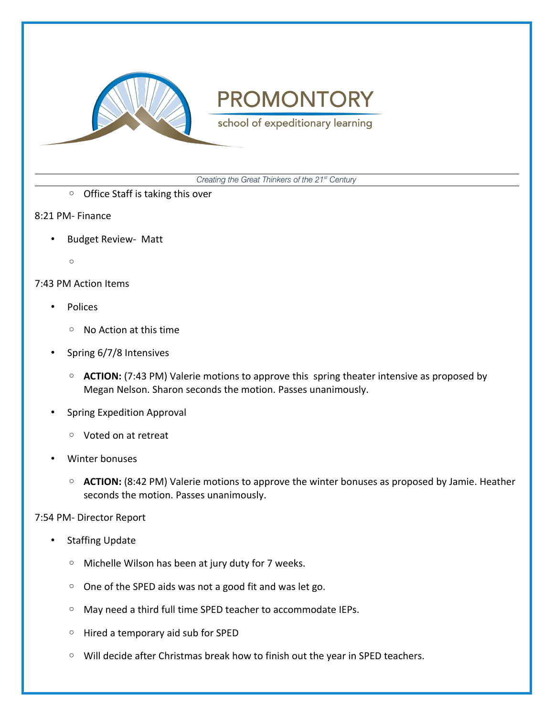

school of expeditionary learning

*Creating the Great Thinkers of the 21st Century*

- Office Staff is taking this over
- 8:21 PM- Finance
	- Budget Review- Matt
		- $\circ$

### 7:43 PM Action Items

- Polices
	- No Action at this time
- Spring 6/7/8 Intensives
	- **ACTION:** (7:43 PM) Valerie motions to approve this spring theater intensive as proposed by Megan Nelson. Sharon seconds the motion. Passes unanimously.
- Spring Expedition Approval
	- Voted on at retreat
- Winter bonuses
	- **ACTION:** (8:42 PM) Valerie motions to approve the winter bonuses as proposed by Jamie. Heather seconds the motion. Passes unanimously.

#### 7:54 PM- Director Report

- **Staffing Update** 
	- Michelle Wilson has been at jury duty for 7 weeks.
	- One of the SPED aids was not a good fit and was let go.
	- May need a third full time SPED teacher to accommodate IEPs.
	- Hired a temporary aid sub for SPED
	- Will decide after Christmas break how to finish out the year in SPED teachers.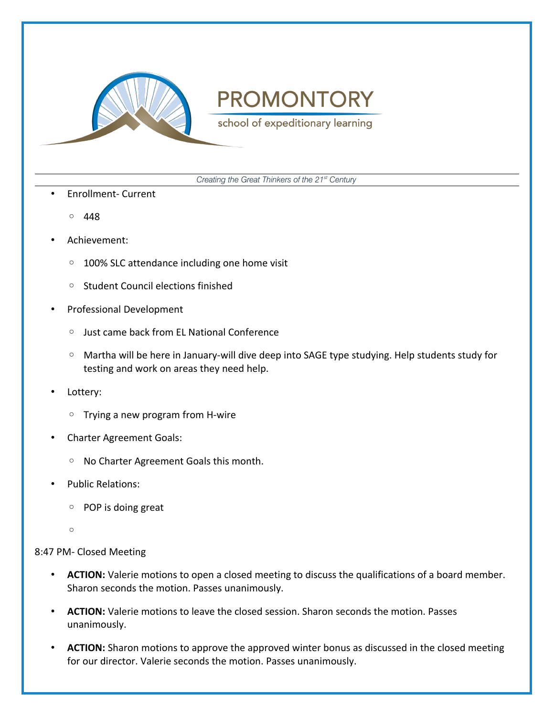

school of expeditionary learning

*Creating the Great Thinkers of the 21st Century*

- Enrollment- Current
	- 448
- Achievement:
	- 100% SLC attendance including one home visit
	- Student Council elections finished
- Professional Development
	- Just came back from EL National Conference
	- Martha will be here in January-will dive deep into SAGE type studying. Help students study for testing and work on areas they need help.
- Lottery:
	- Trying a new program from H-wire
- Charter Agreement Goals:
	- No Charter Agreement Goals this month.
- Public Relations:
	- POP is doing great
	- $\circ$

#### 8:47 PM- Closed Meeting

- **ACTION:** Valerie motions to open a closed meeting to discuss the qualifications of a board member. Sharon seconds the motion. Passes unanimously.
- **ACTION:** Valerie motions to leave the closed session. Sharon seconds the motion. Passes unanimously.
- **ACTION:** Sharon motions to approve the approved winter bonus as discussed in the closed meeting for our director. Valerie seconds the motion. Passes unanimously.